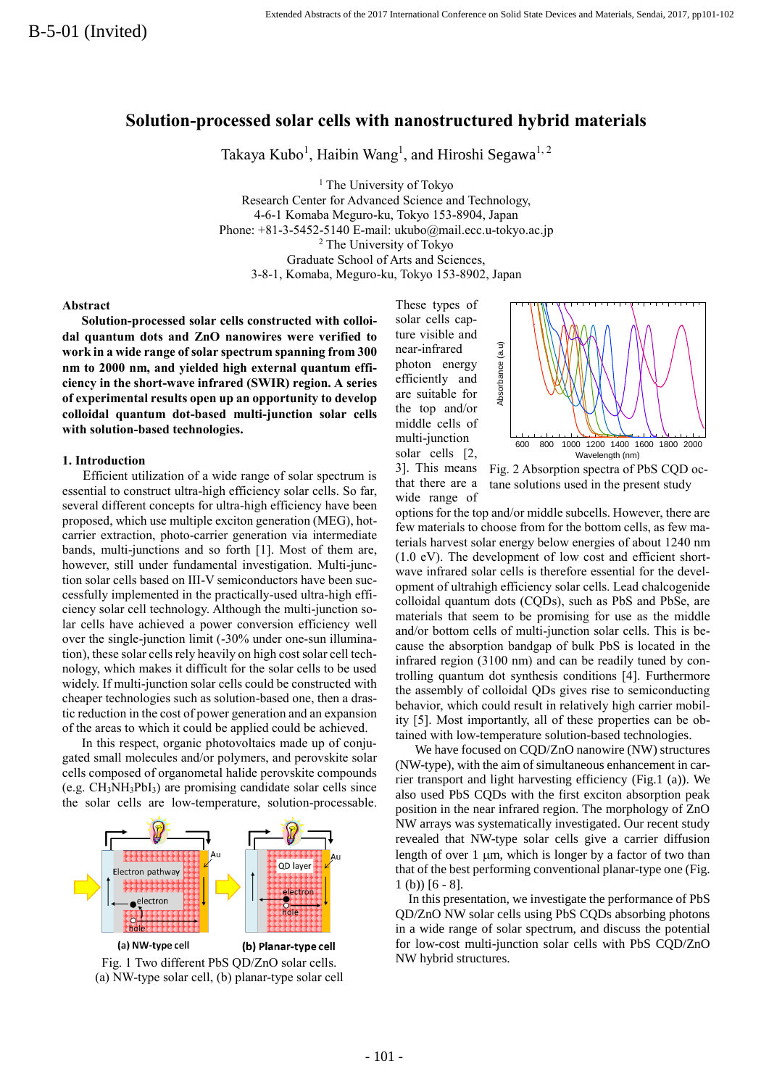# **Solution-processed solar cells with nanostructured hybrid materials**

Takaya Kubo<sup>1</sup>, Haibin Wang<sup>1</sup>, and Hiroshi Segawa<sup>1, 2</sup>

<sup>1</sup> The University of Tokyo Research Center for Advanced Science and Technology, 4-6-1 Komaba Meguro-ku, Tokyo 153-8904, Japan Phone:  $+81-3-5452-5140$  E-mail: ukubo@mail.ecc.u-tokyo.ac.jp <sup>2</sup> The University of Tokyo Graduate School of Arts and Sciences, 3-8-1, Komaba, Meguro-ku, Tokyo 153-8902, Japan

## **Abstract**

**Solution-processed solar cells constructed with colloidal quantum dots and ZnO nanowires were verified to work in a wide range of solar spectrum spanning from 300 nm to 2000 nm, and yielded high external quantum efficiency in the short-wave infrared (SWIR) region. A series of experimental results open up an opportunity to develop colloidal quantum dot-based multi-junction solar cells with solution-based technologies.**

## **1. Introduction**

 Efficient utilization of a wide range of solar spectrum is essential to construct ultra-high efficiency solar cells. So far, several different concepts for ultra-high efficiency have been proposed, which use multiple exciton generation (MEG), hotcarrier extraction, photo-carrier generation via intermediate bands, multi-junctions and so forth [1]. Most of them are, however, still under fundamental investigation. Multi-junction solar cells based on III-V semiconductors have been successfully implemented in the practically-used ultra-high efficiency solar cell technology. Although the multi-junction solar cells have achieved a power conversion efficiency well over the single-junction limit (-30% under one-sun illumination), these solar cells rely heavily on high cost solar cell technology, which makes it difficult for the solar cells to be used widely. If multi-junction solar cells could be constructed with cheaper technologies such as solution-based one, then a drastic reduction in the cost of power generation and an expansion of the areas to which it could be applied could be achieved.

 In this respect, organic photovoltaics made up of conjugated small molecules and/or polymers, and perovskite solar cells composed of organometal halide perovskite compounds (e.g. CH3NH3PbI3) are promising candidate solar cells since the solar cells are low-temperature, solution-processable.





These types of solar cells capture visible and near-infrared photon energy efficiently and are suitable for the top and/or middle cells of multi-junction solar cells [2, 3]. This means that there are a



wide range of

Fig. 2 Absorption spectra of PbS CQD octane solutions used in the present study

options for the top and/or middle subcells. However, there are few materials to choose from for the bottom cells, as few materials harvest solar energy below energies of about 1240 nm (1.0 eV). The development of low cost and efficient shortwave infrared solar cells is therefore essential for the development of ultrahigh efficiency solar cells. Lead chalcogenide colloidal quantum dots (CQDs), such as PbS and PbSe, are materials that seem to be promising for use as the middle and/or bottom cells of multi-junction solar cells. This is because the absorption bandgap of bulk PbS is located in the infrared region (3100 nm) and can be readily tuned by controlling quantum dot synthesis conditions [4]. Furthermore the assembly of colloidal QDs gives rise to semiconducting behavior, which could result in relatively high carrier mobility [5]. Most importantly, all of these properties can be obtained with low-temperature solution-based technologies.

 We have focused on CQD/ZnO nanowire (NW) structures (NW-type), with the aim of simultaneous enhancement in carrier transport and light harvesting efficiency (Fig.1 (a)). We also used PbS CQDs with the first exciton absorption peak position in the near infrared region. The morphology of ZnO NW arrays was systematically investigated. Our recent study revealed that NW-type solar cells give a carrier diffusion length of over 1 µm, which is longer by a factor of two than that of the best performing conventional planar-type one (Fig. 1 (b)) [6 - 8].

 In this presentation, we investigate the performance of PbS QD/ZnO NW solar cells using PbS CQDs absorbing photons in a wide range of solar spectrum, and discuss the potential for low-cost multi-junction solar cells with PbS CQD/ZnO NW hybrid structures.